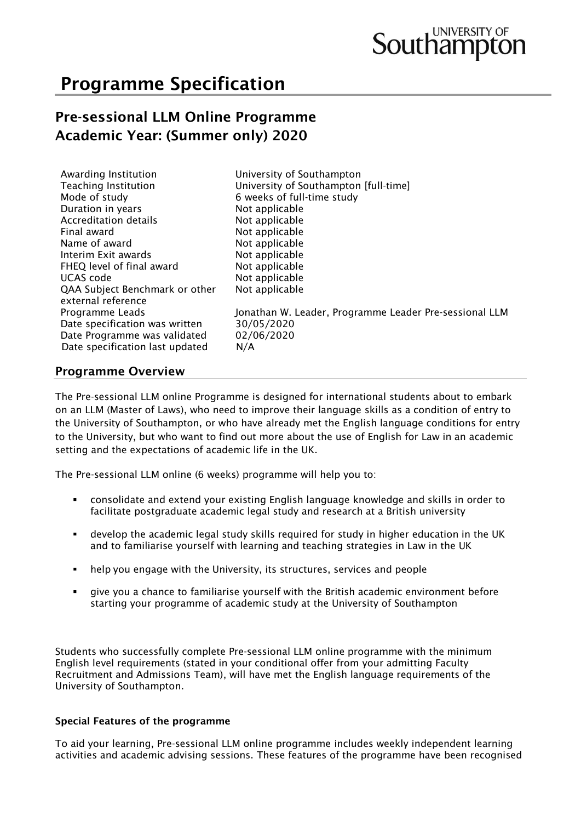# Programme Specification

## Pre-sessional LLM Online Programme Academic Year: (Summer only) 2020

| Awarding Institution<br><b>Teaching Institution</b><br>Mode of study<br>Duration in years<br>Accreditation details<br>Final award<br>Name of award<br>Interim Exit awards<br>FHEQ level of final award<br><b>UCAS</b> code<br>QAA Subject Benchmark or other<br>external reference<br>Programme Leads<br>Date specification was written | University of Southampton<br>University of Southampton [full-time]<br>6 weeks of full-time study<br>Not applicable<br>Not applicable<br>Not applicable<br>Not applicable<br>Not applicable<br>Not applicable<br>Not applicable<br>Not applicable<br>Jonathan W. Leader, Programme Leader Pre-sessional LLM<br>30/05/2020 |
|-----------------------------------------------------------------------------------------------------------------------------------------------------------------------------------------------------------------------------------------------------------------------------------------------------------------------------------------|--------------------------------------------------------------------------------------------------------------------------------------------------------------------------------------------------------------------------------------------------------------------------------------------------------------------------|
| Date Programme was validated                                                                                                                                                                                                                                                                                                            | 02/06/2020                                                                                                                                                                                                                                                                                                               |
| Date specification last updated                                                                                                                                                                                                                                                                                                         | N/A                                                                                                                                                                                                                                                                                                                      |

## Programme Overview

The Pre-sessional LLM online Programme is designed for international students about to embark on an LLM (Master of Laws), who need to improve their language skills as a condition of entry to the University of Southampton, or who have already met the English language conditions for entry to the University, but who want to find out more about the use of English for Law in an academic setting and the expectations of academic life in the UK.

The Pre-sessional LLM online (6 weeks) programme will help you to:

- consolidate and extend your existing English language knowledge and skills in order to facilitate postgraduate academic legal study and research at a British university
- develop the academic legal study skills required for study in higher education in the UK and to familiarise yourself with learning and teaching strategies in Law in the UK
- help you engage with the University, its structures, services and people
- give you a chance to familiarise yourself with the British academic environment before starting your programme of academic study at the University of Southampton

Students who successfully complete Pre-sessional LLM online programme with the minimum English level requirements (stated in your conditional offer from your admitting Faculty Recruitment and Admissions Team), will have met the English language requirements of the University of Southampton.

#### Special Features of the programme

To aid your learning, Pre-sessional LLM online programme includes weekly independent learning activities and academic advising sessions. These features of the programme have been recognised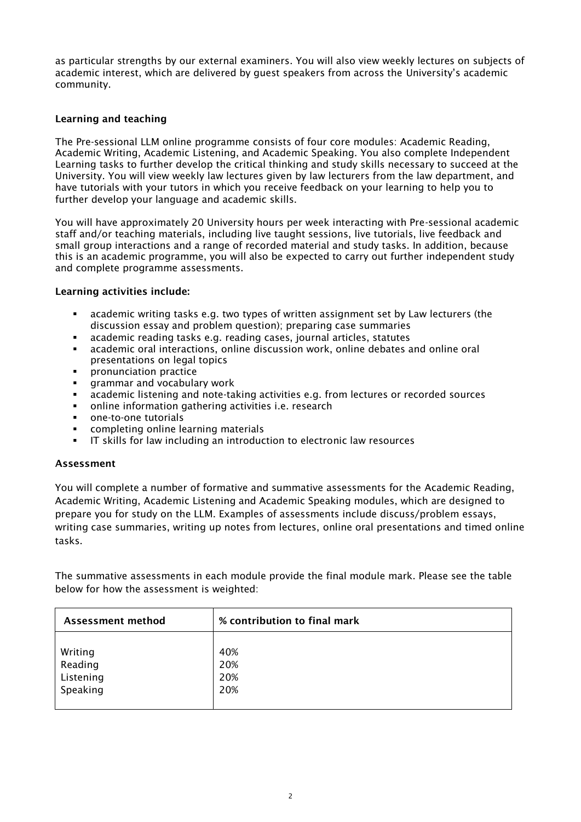as particular strengths by our external examiners. You will also view weekly lectures on subjects of academic interest, which are delivered by guest speakers from across the University's academic community.

#### Learning and teaching

The Pre-sessional LLM online programme consists of four core modules: Academic Reading, Academic Writing, Academic Listening, and Academic Speaking. You also complete Independent Learning tasks to further develop the critical thinking and study skills necessary to succeed at the University. You will view weekly law lectures given by law lecturers from the law department, and have tutorials with your tutors in which you receive feedback on your learning to help you to further develop your language and academic skills.

You will have approximately 20 University hours per week interacting with Pre-sessional academic staff and/or teaching materials, including live taught sessions, live tutorials, live feedback and small group interactions and a range of recorded material and study tasks. In addition, because this is an academic programme, you will also be expected to carry out further independent study and complete programme assessments.

#### Learning activities include:

- academic writing tasks e.g. two types of written assignment set by Law lecturers (the discussion essay and problem question); preparing case summaries
- academic reading tasks e.g. reading cases, journal articles, statutes
- academic oral interactions, online discussion work, online debates and online oral presentations on legal topics
- **•** pronunciation practice
- **EXEC** grammar and vocabulary work
- academic listening and note-taking activities e.g. from lectures or recorded sources
- online information gathering activities i.e. research
- one-to-one tutorials
- completing online learning materials
- IT skills for law including an introduction to electronic law resources

#### Assessment

You will complete a number of formative and summative assessments for the Academic Reading, Academic Writing, Academic Listening and Academic Speaking modules, which are designed to prepare you for study on the LLM. Examples of assessments include discuss/problem essays, writing case summaries, writing up notes from lectures, online oral presentations and timed online tasks.

The summative assessments in each module provide the final module mark. Please see the table below for how the assessment is weighted:

| Assessment method | % contribution to final mark |
|-------------------|------------------------------|
| Writing           | 40%                          |
| Reading           | 20%                          |
| Listening         | 20%                          |
| Speaking          | 20%                          |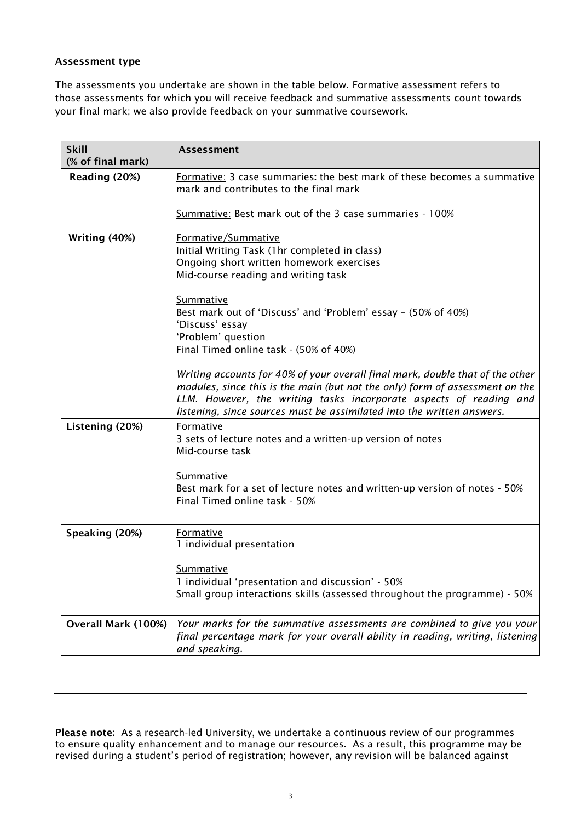#### Assessment type

The assessments you undertake are shown in the table below. Formative assessment refers to those assessments for which you will receive feedback and summative assessments count towards your final mark; we also provide feedback on your summative coursework.

| <b>Skill</b>        | <b>Assessment</b>                                                                                                                                                                                                                                                                                                        |
|---------------------|--------------------------------------------------------------------------------------------------------------------------------------------------------------------------------------------------------------------------------------------------------------------------------------------------------------------------|
| (% of final mark)   |                                                                                                                                                                                                                                                                                                                          |
| Reading (20%)       | Formative: 3 case summaries: the best mark of these becomes a summative<br>mark and contributes to the final mark                                                                                                                                                                                                        |
|                     | Summative: Best mark out of the 3 case summaries - 100%                                                                                                                                                                                                                                                                  |
| Writing (40%)       | Formative/Summative<br>Initial Writing Task (1hr completed in class)<br>Ongoing short written homework exercises<br>Mid-course reading and writing task<br>Summative<br>Best mark out of 'Discuss' and 'Problem' essay - (50% of 40%)<br>'Discuss' essay<br>'Problem' question<br>Final Timed online task - (50% of 40%) |
|                     | Writing accounts for 40% of your overall final mark, double that of the other<br>modules, since this is the main (but not the only) form of assessment on the<br>LLM. However, the writing tasks incorporate aspects of reading and<br>listening, since sources must be assimilated into the written answers.            |
| Listening (20%)     | Formative<br>3 sets of lecture notes and a written-up version of notes<br>Mid-course task<br>Summative                                                                                                                                                                                                                   |
|                     | Best mark for a set of lecture notes and written-up version of notes - 50%<br>Final Timed online task - 50%                                                                                                                                                                                                              |
| Speaking (20%)      | Formative<br>1 individual presentation                                                                                                                                                                                                                                                                                   |
|                     | <b>Summative</b><br>1 individual 'presentation and discussion' - 50%<br>Small group interactions skills (assessed throughout the programme) - 50%                                                                                                                                                                        |
| Overall Mark (100%) | Your marks for the summative assessments are combined to give you your<br>final percentage mark for your overall ability in reading, writing, listening<br>and speaking.                                                                                                                                                 |

Please note: As a research-led University, we undertake a continuous review of our programmes to ensure quality enhancement and to manage our resources. As a result, this programme may be revised during a student's period of registration; however, any revision will be balanced against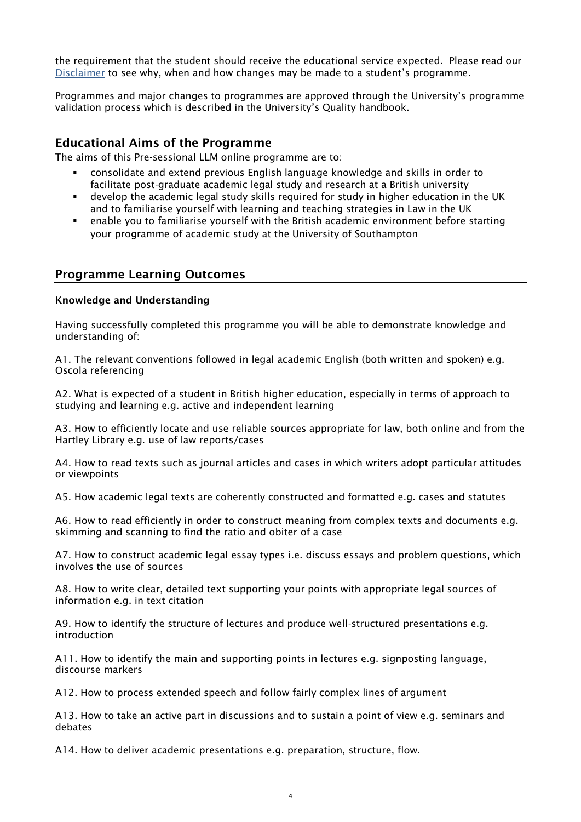the requirement that the student should receive the educational service expected. Please read our [Disclaimer](http://www.calendar.soton.ac.uk/index.html) to see why, when and how changes may be made to a student's programme.

Programmes and major changes to programmes are approved through the University's programme validation process which is described in the University's Quality handbook.

## Educational Aims of the Programme

The aims of this Pre-sessional LLM online programme are to:

- consolidate and extend previous English language knowledge and skills in order to facilitate post-graduate academic legal study and research at a British university
- develop the academic legal study skills required for study in higher education in the UK and to familiarise yourself with learning and teaching strategies in Law in the UK
- enable you to familiarise yourself with the British academic environment before starting your programme of academic study at the University of Southampton

## Programme Learning Outcomes

#### Knowledge and Understanding

Having successfully completed this programme you will be able to demonstrate knowledge and understanding of:

A1. The relevant conventions followed in legal academic English (both written and spoken) e.g. Oscola referencing

A2. What is expected of a student in British higher education, especially in terms of approach to studying and learning e.g. active and independent learning

A3. How to efficiently locate and use reliable sources appropriate for law, both online and from the Hartley Library e.g. use of law reports/cases

A4. How to read texts such as journal articles and cases in which writers adopt particular attitudes or viewpoints

A5. How academic legal texts are coherently constructed and formatted e.g. cases and statutes

A6. How to read efficiently in order to construct meaning from complex texts and documents e.g. skimming and scanning to find the ratio and obiter of a case

A7. How to construct academic legal essay types i.e. discuss essays and problem questions, which involves the use of sources

A8. How to write clear, detailed text supporting your points with appropriate legal sources of information e.g. in text citation

A9. How to identify the structure of lectures and produce well-structured presentations e.g. introduction

A11. How to identify the main and supporting points in lectures e.g. signposting language, discourse markers

A12. How to process extended speech and follow fairly complex lines of argument

A13. How to take an active part in discussions and to sustain a point of view e.g. seminars and debates

A14. How to deliver academic presentations e.g. preparation, structure, flow.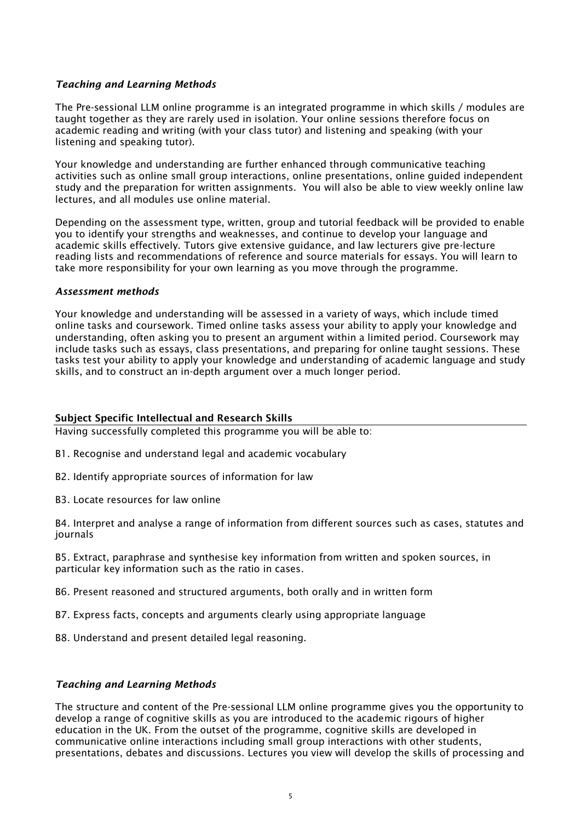#### *Teaching and Learning Methods*

The Pre-sessional LLM online programme is an integrated programme in which skills / modules are taught together as they are rarely used in isolation. Your online sessions therefore focus on academic reading and writing (with your class tutor) and listening and speaking (with your listening and speaking tutor).

Your knowledge and understanding are further enhanced through communicative teaching activities such as online small group interactions, online presentations, online guided independent study and the preparation for written assignments. You will also be able to view weekly online law lectures, and all modules use online material.

Depending on the assessment type, written, group and tutorial feedback will be provided to enable you to identify your strengths and weaknesses, and continue to develop your language and academic skills effectively. Tutors give extensive guidance, and law lecturers give pre-lecture reading lists and recommendations of reference and source materials for essays. You will learn to take more responsibility for your own learning as you move through the programme.

#### *Assessment methods*

Your knowledge and understanding will be assessed in a variety of ways, which include timed online tasks and coursework. Timed online tasks assess your ability to apply your knowledge and understanding, often asking you to present an argument within a limited period. Coursework may include tasks such as essays, class presentations, and preparing for online taught sessions. These tasks test your ability to apply your knowledge and understanding of academic language and study skills, and to construct an in-depth argument over a much longer period.

#### Subject Specific Intellectual and Research Skills

Having successfully completed this programme you will be able to:

- B1. Recognise and understand legal and academic vocabulary
- B2. Identify appropriate sources of information for law
- B3. Locate resources for law online

B4. Interpret and analyse a range of information from different sources such as cases, statutes and journals

B5. Extract, paraphrase and synthesise key information from written and spoken sources, in particular key information such as the ratio in cases.

- B6. Present reasoned and structured arguments, both orally and in written form
- B7. Express facts, concepts and arguments clearly using appropriate language
- B8. Understand and present detailed legal reasoning.

#### *Teaching and Learning Methods*

The structure and content of the Pre-sessional LLM online programme gives you the opportunity to develop a range of cognitive skills as you are introduced to the academic rigours of higher education in the UK. From the outset of the programme, cognitive skills are developed in communicative online interactions including small group interactions with other students, presentations, debates and discussions. Lectures you view will develop the skills of processing and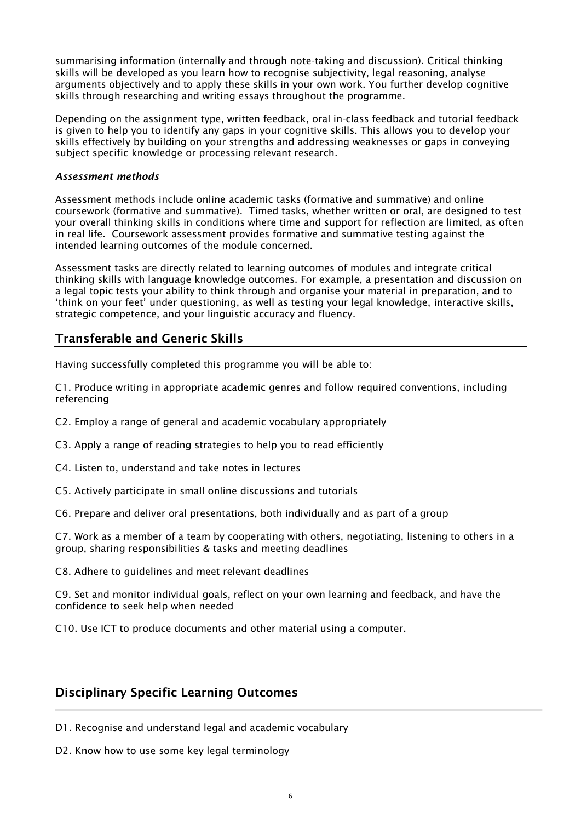summarising information (internally and through note-taking and discussion). Critical thinking skills will be developed as you learn how to recognise subjectivity, legal reasoning, analyse arguments objectively and to apply these skills in your own work. You further develop cognitive skills through researching and writing essays throughout the programme.

Depending on the assignment type, written feedback, oral in-class feedback and tutorial feedback is given to help you to identify any gaps in your cognitive skills. This allows you to develop your skills effectively by building on your strengths and addressing weaknesses or gaps in conveying subject specific knowledge or processing relevant research.

#### *Assessment methods*

Assessment methods include online academic tasks (formative and summative) and online coursework (formative and summative). Timed tasks, whether written or oral, are designed to test your overall thinking skills in conditions where time and support for reflection are limited, as often in real life. Coursework assessment provides formative and summative testing against the intended learning outcomes of the module concerned.

Assessment tasks are directly related to learning outcomes of modules and integrate critical thinking skills with language knowledge outcomes. For example, a presentation and discussion on a legal topic tests your ability to think through and organise your material in preparation, and to 'think on your feet' under questioning, as well as testing your legal knowledge, interactive skills, strategic competence, and your linguistic accuracy and fluency.

## Transferable and Generic Skills

Having successfully completed this programme you will be able to:

C1. Produce writing in appropriate academic genres and follow required conventions, including referencing

- C2. Employ a range of general and academic vocabulary appropriately
- C3. Apply a range of reading strategies to help you to read efficiently
- C4. Listen to, understand and take notes in lectures
- C5. Actively participate in small online discussions and tutorials
- C6. Prepare and deliver oral presentations, both individually and as part of a group

C7. Work as a member of a team by cooperating with others, negotiating, listening to others in a group, sharing responsibilities & tasks and meeting deadlines

C8. Adhere to guidelines and meet relevant deadlines

C9. Set and monitor individual goals, reflect on your own learning and feedback, and have the confidence to seek help when needed

C10. Use ICT to produce documents and other material using a computer.

## Disciplinary Specific Learning Outcomes

- D1. Recognise and understand legal and academic vocabulary
- D2. Know how to use some key legal terminology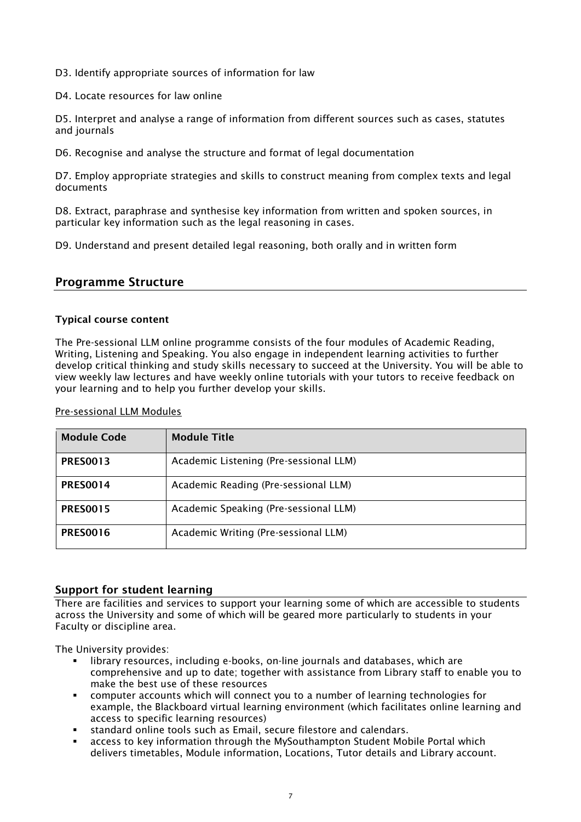D3. Identify appropriate sources of information for law

D4. Locate resources for law online

D5. Interpret and analyse a range of information from different sources such as cases, statutes and journals

D6. Recognise and analyse the structure and format of legal documentation

D7. Employ appropriate strategies and skills to construct meaning from complex texts and legal documents

D8. Extract, paraphrase and synthesise key information from written and spoken sources, in particular key information such as the legal reasoning in cases.

D9. Understand and present detailed legal reasoning, both orally and in written form

## Programme Structure

#### Typical course content

The Pre-sessional LLM online programme consists of the four modules of Academic Reading, Writing, Listening and Speaking. You also engage in independent learning activities to further develop critical thinking and study skills necessary to succeed at the University. You will be able to view weekly law lectures and have weekly online tutorials with your tutors to receive feedback on your learning and to help you further develop your skills.

#### Pre-sessional LLM Modules

| <b>Module Code</b> | <b>Module Title</b>                    |
|--------------------|----------------------------------------|
| <b>PRESO013</b>    | Academic Listening (Pre-sessional LLM) |
| <b>PRES0014</b>    | Academic Reading (Pre-sessional LLM)   |
| <b>PRESO015</b>    | Academic Speaking (Pre-sessional LLM)  |
| <b>PRES0016</b>    | Academic Writing (Pre-sessional LLM)   |

#### Support for student learning

There are facilities and services to support your learning some of which are accessible to students across the University and some of which will be geared more particularly to students in your Faculty or discipline area.

The University provides:

- library resources, including e-books, on-line journals and databases, which are comprehensive and up to date; together with assistance from Library staff to enable you to make the best use of these resources
- computer accounts which will connect you to a number of learning technologies for example, the Blackboard virtual learning environment (which facilitates online learning and access to specific learning resources)
- standard online tools such as Email, secure filestore and calendars.
- access to key information through the MySouthampton Student Mobile Portal which delivers timetables, Module information, Locations, Tutor details and Library account.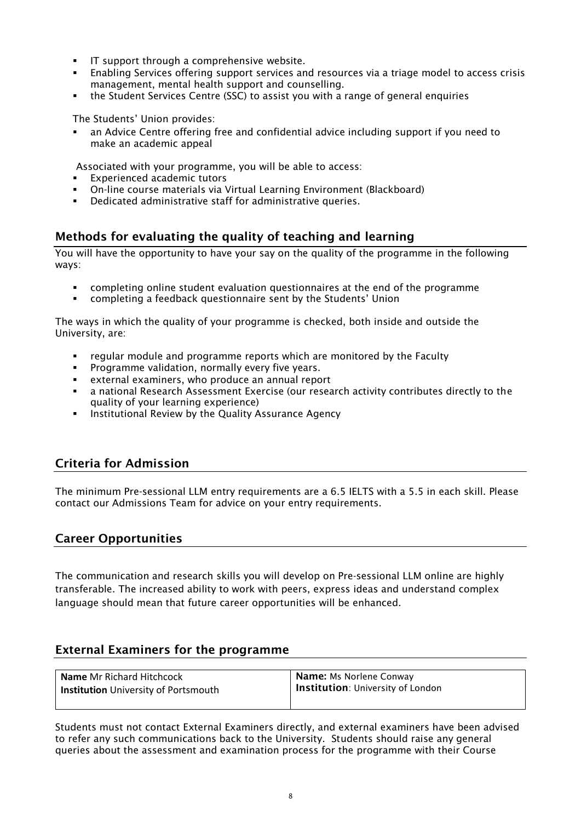- IT support through a comprehensive website.
- Enabling Services offering support services and resources via a triage model to access crisis management, mental health support and counselling.
- the Student Services Centre (SSC) to assist you with a range of general enquiries

The Students' Union provides:

an Advice Centre offering free and confidential advice including support if you need to make an academic appeal

Associated with your programme, you will be able to access:

- Experienced academic tutors
- On-line course materials via Virtual Learning Environment (Blackboard)
- Dedicated administrative staff for administrative queries.

## Methods for evaluating the quality of teaching and learning

You will have the opportunity to have your say on the quality of the programme in the following ways:

- completing online student evaluation questionnaires at the end of the programme
- completing a feedback questionnaire sent by the Students' Union

The ways in which the quality of your programme is checked, both inside and outside the University, are:

- regular module and programme reports which are monitored by the Faculty
- **•** Programme validation, normally every five years.
- external examiners, who produce an annual report
- a national Research Assessment Exercise (our research activity contributes directly to the quality of your learning experience)
- **EXECT:** Institutional Review by the Quality Assurance Agency

## Criteria for Admission

The minimum Pre-sessional LLM entry requirements are a 6.5 IELTS with a 5.5 in each skill. Please contact our Admissions Team for advice on your entry requirements.

#### Career Opportunities

The communication and research skills you will develop on Pre-sessional LLM online are highly transferable. The increased ability to work with peers, express ideas and understand complex language should mean that future career opportunities will be enhanced.

## External Examiners for the programme

| <b>Name Mr Richard Hitchcock</b>            | Name: Ms Norlene Conway           |
|---------------------------------------------|-----------------------------------|
| <b>Institution</b> University of Portsmouth | Institution: University of London |
|                                             |                                   |

Students must not contact External Examiners directly, and external examiners have been advised to refer any such communications back to the University. Students should raise any general queries about the assessment and examination process for the programme with their Course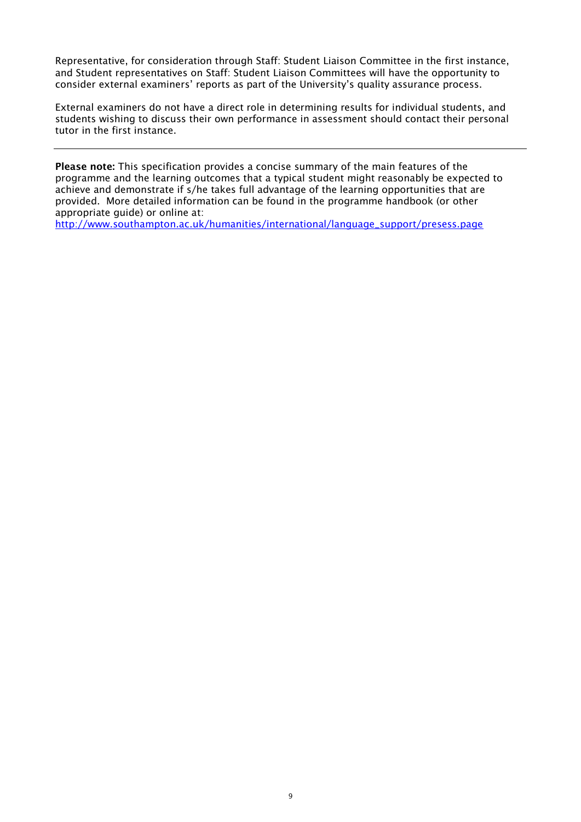Representative, for consideration through Staff: Student Liaison Committee in the first instance, and Student representatives on Staff: Student Liaison Committees will have the opportunity to consider external examiners' reports as part of the University's quality assurance process.

External examiners do not have a direct role in determining results for individual students, and students wishing to discuss their own performance in assessment should contact their personal tutor in the first instance.

Please note: This specification provides a concise summary of the main features of the programme and the learning outcomes that a typical student might reasonably be expected to achieve and demonstrate if s/he takes full advantage of the learning opportunities that are provided. More detailed information can be found in the programme handbook (or other appropriate guide) or online at:

[http://www.southampton.ac.uk/humanities/international/language\\_support/presess.page](http://www.southampton.ac.uk/humanities/international/language_support/presess.page)